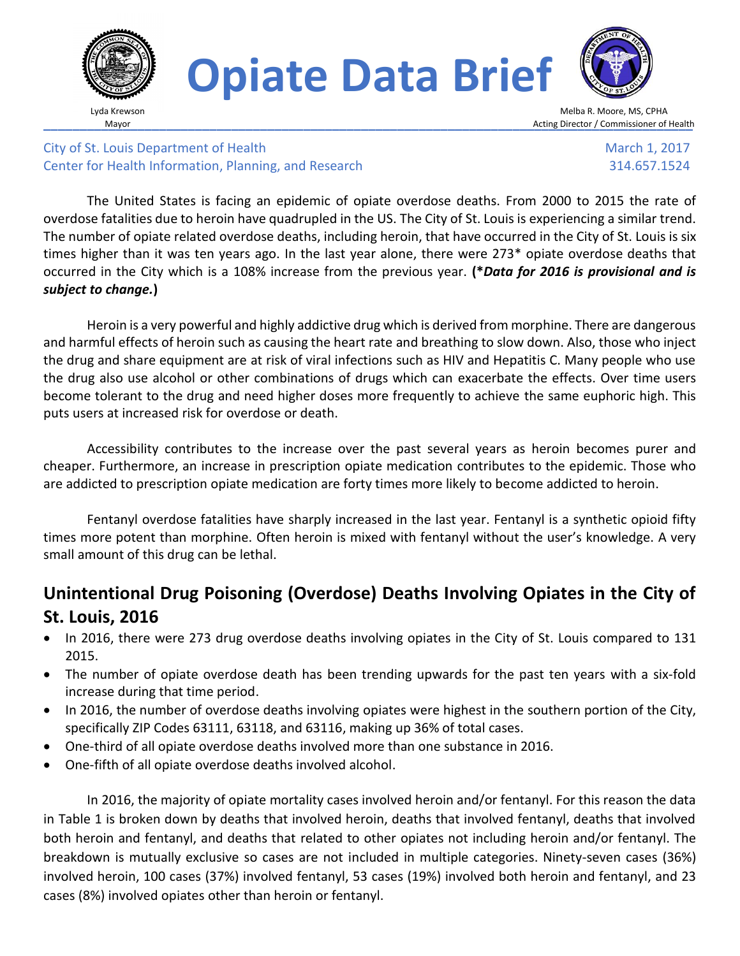

# **Opiate Data Brief**



Melba R. Moore, MS, CPHA **Mayor** Mayor **Exercise Commissioner of Health** 

City of St. Louis Department of Health Center for Health Information, Planning, and Research

 March 1, 2017 314.657.1524

The United States is facing an epidemic of opiate overdose deaths. From 2000 to 2015 the rate of overdose fatalities due to heroin have quadrupled in the US. The City of St. Louis is experiencing a similar trend. The number of opiate related overdose deaths, including heroin, that have occurred in the City of St. Louis is six times higher than it was ten years ago. In the last year alone, there were 273\* opiate overdose deaths that occurred in the City which is a 108% increase from the previous year. **(\****Data for 2016 is provisional and is subject to change.***)**

Heroin is a very powerful and highly addictive drug which is derived from morphine. There are dangerous and harmful effects of heroin such as causing the heart rate and breathing to slow down. Also, those who inject the drug and share equipment are at risk of viral infections such as HIV and Hepatitis C. Many people who use the drug also use alcohol or other combinations of drugs which can exacerbate the effects. Over time users become tolerant to the drug and need higher doses more frequently to achieve the same euphoric high. This puts users at increased risk for overdose or death.

Accessibility contributes to the increase over the past several years as heroin becomes purer and cheaper. Furthermore, an increase in prescription opiate medication contributes to the epidemic. Those who are addicted to prescription opiate medication are forty times more likely to become addicted to heroin.

Fentanyl overdose fatalities have sharply increased in the last year. Fentanyl is a synthetic opioid fifty times more potent than morphine. Often heroin is mixed with fentanyl without the user's knowledge. A very small amount of this drug can be lethal.

# **Unintentional Drug Poisoning (Overdose) Deaths Involving Opiates in the City of St. Louis, 2016**

- In 2016, there were 273 drug overdose deaths involving opiates in the City of St. Louis compared to 131 2015.
- The number of opiate overdose death has been trending upwards for the past ten years with a six-fold increase during that time period.
- In 2016, the number of overdose deaths involving opiates were highest in the southern portion of the City, specifically ZIP Codes 63111, 63118, and 63116, making up 36% of total cases.
- One-third of all opiate overdose deaths involved more than one substance in 2016.
- One-fifth of all opiate overdose deaths involved alcohol.

In 2016, the majority of opiate mortality cases involved heroin and/or fentanyl. For this reason the data in Table 1 is broken down by deaths that involved heroin, deaths that involved fentanyl, deaths that involved both heroin and fentanyl, and deaths that related to other opiates not including heroin and/or fentanyl. The breakdown is mutually exclusive so cases are not included in multiple categories. Ninety-seven cases (36%) involved heroin, 100 cases (37%) involved fentanyl, 53 cases (19%) involved both heroin and fentanyl, and 23 cases (8%) involved opiates other than heroin or fentanyl.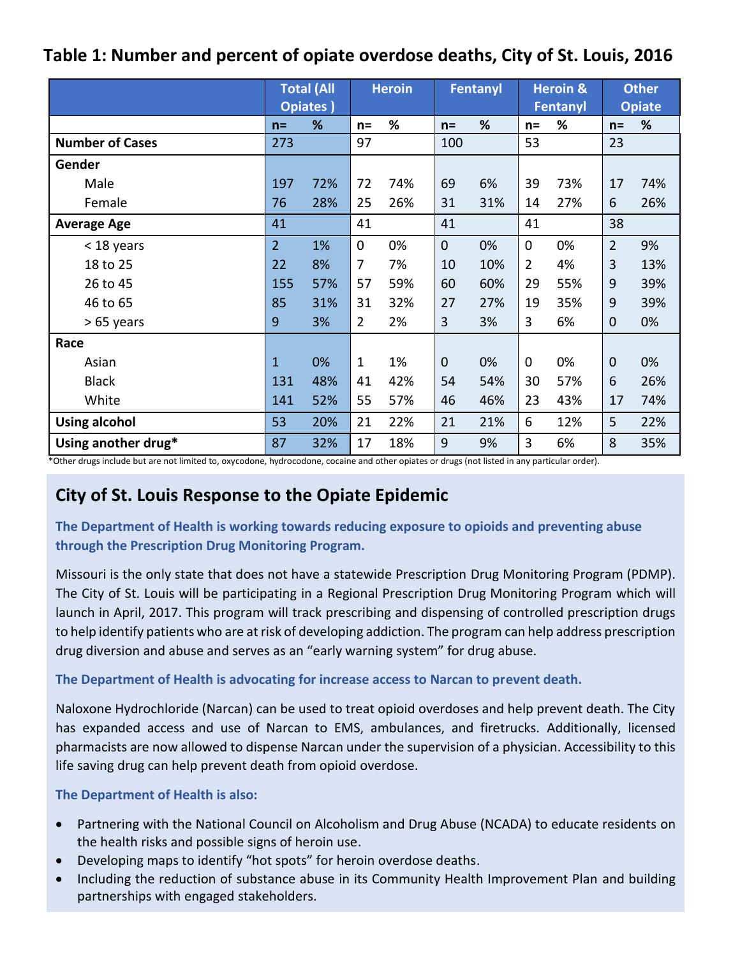## **Table 1: Number and percent of opiate overdose deaths, City of St. Louis, 2016**

|                        | <b>Total (All</b><br><b>Opiates</b> ) |     | <b>Heroin</b>  |     | Fentanyl     |     | <b>Heroin &amp;</b><br>Fentanyl |     | <b>Other</b><br><b>Opiate</b> |     |
|------------------------|---------------------------------------|-----|----------------|-----|--------------|-----|---------------------------------|-----|-------------------------------|-----|
|                        | $n =$                                 | %   | $n =$          | %   | $n =$        | %   | $n =$                           | %   | $n =$                         | %   |
| <b>Number of Cases</b> | 273                                   |     | 97             |     | 100          |     | 53                              |     | 23                            |     |
| Gender                 |                                       |     |                |     |              |     |                                 |     |                               |     |
| Male                   | 197                                   | 72% | 72             | 74% | 69           | 6%  | 39                              | 73% | 17                            | 74% |
| Female                 | 76                                    | 28% | 25             | 26% | 31           | 31% | 14                              | 27% | 6                             | 26% |
| <b>Average Age</b>     | 41                                    |     | 41             |     | 41           |     | 41                              |     | 38                            |     |
| < 18 years             | $\overline{2}$                        | 1%  | $\mathbf 0$    | 0%  | $\mathbf{0}$ | 0%  | $\mathbf 0$                     | 0%  | $\overline{2}$                | 9%  |
| 18 to 25               | 22                                    | 8%  | 7              | 7%  | 10           | 10% | 2                               | 4%  | 3                             | 13% |
| 26 to 45               | 155                                   | 57% | 57             | 59% | 60           | 60% | 29                              | 55% | 9                             | 39% |
| 46 to 65               | 85                                    | 31% | 31             | 32% | 27           | 27% | 19                              | 35% | 9                             | 39% |
| > 65 years             | 9                                     | 3%  | $\overline{2}$ | 2%  | 3            | 3%  | 3                               | 6%  | 0                             | 0%  |
| Race                   |                                       |     |                |     |              |     |                                 |     |                               |     |
| Asian                  | $\mathbf{1}$                          | 0%  | $\mathbf{1}$   | 1%  | $\mathbf{0}$ | 0%  | $\mathbf 0$                     | 0%  | $\overline{0}$                | 0%  |
| <b>Black</b>           | 131                                   | 48% | 41             | 42% | 54           | 54% | 30                              | 57% | 6                             | 26% |
| White                  | 141                                   | 52% | 55             | 57% | 46           | 46% | 23                              | 43% | 17                            | 74% |
| <b>Using alcohol</b>   | 53                                    | 20% | 21             | 22% | 21           | 21% | 6                               | 12% | 5                             | 22% |
| Using another drug*    | 87                                    | 32% | 17             | 18% | 9            | 9%  | 3                               | 6%  | 8                             | 35% |

\*Other drugs include but are not limited to, oxycodone, hydrocodone, cocaine and other opiates or drugs (not listed in any particular order).

## **City of St. Louis Response to the Opiate Epidemic**

**The Department of Health is working towards reducing exposure to opioids and preventing abuse through the Prescription Drug Monitoring Program.** 

Missouri is the only state that does not have a statewide Prescription Drug Monitoring Program (PDMP). The City of St. Louis will be participating in a Regional Prescription Drug Monitoring Program which will launch in April, 2017. This program will track prescribing and dispensing of controlled prescription drugs to help identify patients who are at risk of developing addiction. The program can help address prescription drug diversion and abuse and serves as an "early warning system" for drug abuse.

### **The Department of Health is advocating for increase access to Narcan to prevent death.**

Naloxone Hydrochloride (Narcan) can be used to treat opioid overdoses and help prevent death. The City has expanded access and use of Narcan to EMS, ambulances, and firetrucks. Additionally, licensed pharmacists are now allowed to dispense Narcan under the supervision of a physician. Accessibility to this life saving drug can help prevent death from opioid overdose.

### **The Department of Health is also:**

- Partnering with the National Council on Alcoholism and Drug Abuse (NCADA) to educate residents on the health risks and possible signs of heroin use.
- Developing maps to identify "hot spots" for heroin overdose deaths.
- Including the reduction of substance abuse in its Community Health Improvement Plan and building partnerships with engaged stakeholders.